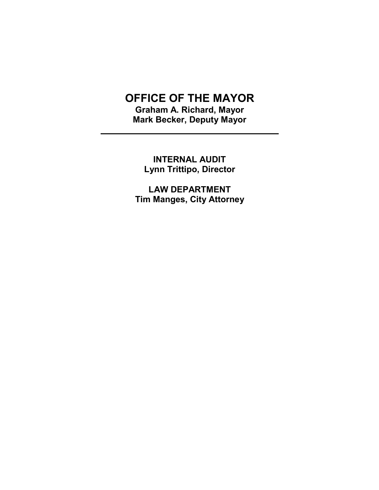# OFFICE OF THE MAYOR

Graham A. Richard, Mayor Mark Becker, Deputy Mayor

l

INTERNAL AUDIT Lynn Trittipo, Director

LAW DEPARTMENT Tim Manges, City Attorney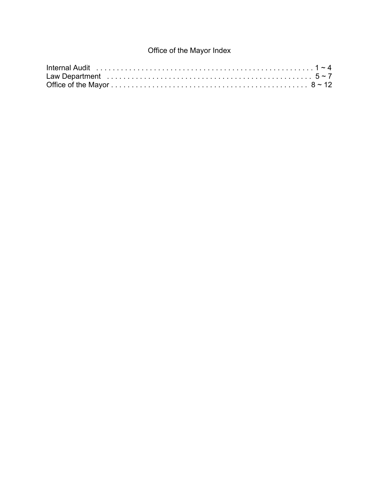## Office of the Mayor Index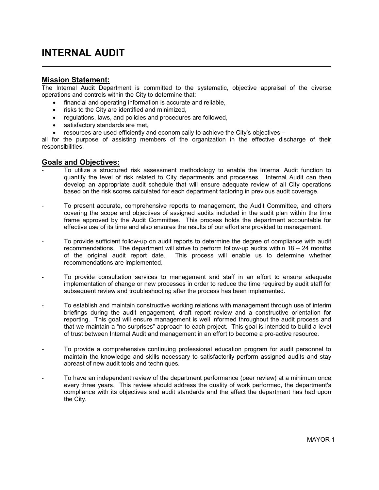## INTERNAL AUDIT

#### Mission Statement:

The Internal Audit Department is committed to the systematic, objective appraisal of the diverse operations and controls within the City to determine that:

- financial and operating information is accurate and reliable,
- risks to the City are identified and minimized,
- regulations, laws, and policies and procedures are followed,
- satisfactory standards are met,
- resources are used efficiently and economically to achieve the City's objectives –

all for the purpose of assisting members of the organization in the effective discharge of their responsibilities.

#### Goals and Objectives:

- To utilize a structured risk assessment methodology to enable the Internal Audit function to quantify the level of risk related to City departments and processes. Internal Audit can then develop an appropriate audit schedule that will ensure adequate review of all City operations based on the risk scores calculated for each department factoring in previous audit coverage.
- To present accurate, comprehensive reports to management, the Audit Committee, and others covering the scope and objectives of assigned audits included in the audit plan within the time frame approved by the Audit Committee. This process holds the department accountable for effective use of its time and also ensures the results of our effort are provided to management.
- To provide sufficient follow-up on audit reports to determine the degree of compliance with audit recommendations. The department will strive to perform follow-up audits within  $18 - 24$  months of the original audit report date. This process will enable us to determine whether recommendations are implemented.
- To provide consultation services to management and staff in an effort to ensure adequate implementation of change or new processes in order to reduce the time required by audit staff for subsequent review and troubleshooting after the process has been implemented.
- To establish and maintain constructive working relations with management through use of interim briefings during the audit engagement, draft report review and a constructive orientation for reporting. This goal will ensure management is well informed throughout the audit process and that we maintain a "no surprises" approach to each project. This goal is intended to build a level of trust between Internal Audit and management in an effort to become a pro-active resource.
- To provide a comprehensive continuing professional education program for audit personnel to maintain the knowledge and skills necessary to satisfactorily perform assigned audits and stay abreast of new audit tools and techniques.
- To have an independent review of the department performance (peer review) at a minimum once every three years. This review should address the quality of work performed, the department's compliance with its objectives and audit standards and the affect the department has had upon the City.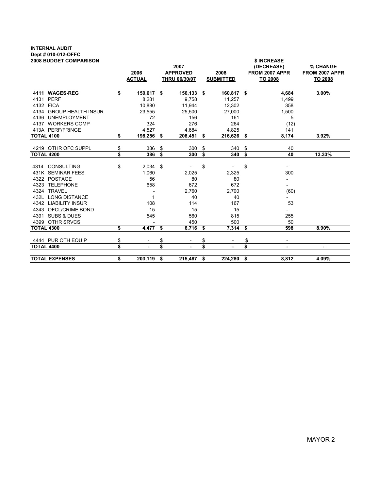## INTERNAL AUDIT Dept # 010-012-OFFC

| <b>2008 BUDGET COMPARISON</b> |          |                       |      | 2007                             |     |                          | \$ INCREASE<br>(DECREASE)        | % CHANGE                  |
|-------------------------------|----------|-----------------------|------|----------------------------------|-----|--------------------------|----------------------------------|---------------------------|
|                               |          | 2006<br><b>ACTUAL</b> |      | <b>APPROVED</b><br>THRU 06/30/07 |     | 2008<br><b>SUBMITTED</b> | FROM 2007 APPR<br><b>TO 2008</b> | FROM 2007 APPR<br>TO 2008 |
|                               |          |                       |      |                                  |     |                          |                                  |                           |
| 4111 WAGES-REG                | \$       | 150,617 \$            |      | 156,133 \$                       |     | 160,817 \$               | 4,684                            | 3.00%                     |
| 4131 PERF                     |          | 8,281                 |      | 9,758                            |     | 11,257                   | 1,499                            |                           |
| 4132 FICA                     |          | 10,880                |      | 11,944                           |     | 12,302                   | 358                              |                           |
| 4134 GROUP HEALTH INSUR       |          | 23,555                |      | 25,500                           |     | 27,000                   | 1,500                            |                           |
| 4136 UNEMPLOYMENT             |          | 72                    |      | 156                              |     | 161                      | 5                                |                           |
| 4137 WORKERS COMP             |          | 324                   |      | 276                              |     | 264                      | (12)                             |                           |
| 413A PERF/FRINGE              |          | 4,527                 |      | 4,684                            |     | 4,825                    | 141                              |                           |
| <b>TOTAL 4100</b>             | \$       | 198,256 \$            |      | 208,451                          | -\$ | 216,626                  | \$<br>8,174                      | 3.92%                     |
|                               |          |                       |      |                                  |     |                          |                                  |                           |
| 4219 OTHR OFC SUPPL           | \$<br>\$ | 386                   | \$   | 300                              | \$  | 340                      | \$<br>40                         |                           |
| <b>TOTAL 4200</b>             |          | 386                   | - \$ | 300                              | \$  | 340                      | \$<br>40                         | 13.33%                    |
| 4314 CONSULTING               | \$       | $2,034$ \$            |      |                                  | \$  |                          | \$<br>$\overline{\phantom{0}}$   |                           |
| 431K SEMINAR FEES             |          | 1,060                 |      | 2,025                            |     | 2,325                    | 300                              |                           |
| 4322 POSTAGE                  |          | 56                    |      | 80                               |     | 80                       |                                  |                           |
| 4323 TELEPHONE                |          | 658                   |      | 672                              |     | 672                      | $\overline{\phantom{a}}$         |                           |
| 4324 TRAVEL                   |          |                       |      | 2.760                            |     | 2,700                    | (60)                             |                           |
| 432L LONG DISTANCE            |          | 1                     |      | 40                               |     | 40                       |                                  |                           |
| 4342 LIABILITY INSUR          |          | 108                   |      | 114                              |     | 167                      | 53                               |                           |
| 4343 OFCL/CRIME BOND          |          | 15                    |      | 15                               |     | 15                       |                                  |                           |
| 4391 SUBS & DUES              |          | 545                   |      | 560                              |     | 815                      | 255                              |                           |
| 4399 OTHR SRVCS               |          |                       |      | 450                              |     | 500                      | 50                               |                           |
| <b>TOTAL 4300</b>             | \$       | 4,477                 | \$   | 6,716                            | \$  | 7,314                    | \$<br>598                        | 8.90%                     |
|                               |          |                       |      |                                  |     |                          |                                  |                           |
| 4444 PUR OTH EQUIP            | \$       |                       | \$   |                                  | \$  |                          | \$                               |                           |
| <b>TOTAL 4400</b>             | \$       |                       | \$   |                                  | \$  |                          | \$<br>$\blacksquare$             | ٠                         |
|                               |          |                       |      |                                  |     |                          |                                  |                           |
| <b>TOTAL EXPENSES</b>         | \$       | 203,119 \$            |      | 215,467                          | \$  | 224,280 \$               | 8,812                            | 4.09%                     |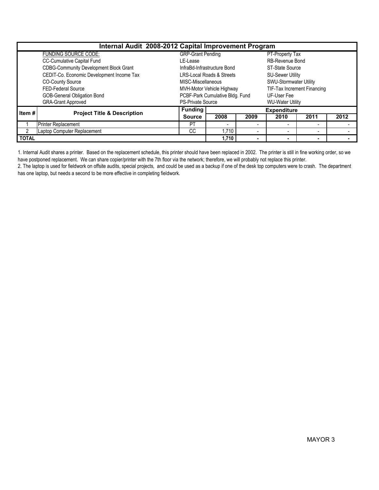|              | Internal Audit 2008-2012 Capital Improvement Program<br>PT-Property Tax |                          |                                      |                             |                         |                          |      |  |  |  |  |  |  |  |  |
|--------------|-------------------------------------------------------------------------|--------------------------|--------------------------------------|-----------------------------|-------------------------|--------------------------|------|--|--|--|--|--|--|--|--|
|              | <b>FUNDING SOURCE CODE:</b>                                             | <b>GRP-Grant Pending</b> |                                      |                             |                         |                          |      |  |  |  |  |  |  |  |  |
|              | CC-Cumulative Capital Fund                                              | LE-Lease                 |                                      |                             | RB-Revenue Bond         |                          |      |  |  |  |  |  |  |  |  |
|              | <b>CDBG-Community Development Block Grant</b>                           |                          | InfraBd-Infrastructure Bond          |                             | <b>ST-State Source</b>  |                          |      |  |  |  |  |  |  |  |  |
|              | CEDIT-Co. Economic Development Income Tax                               |                          | <b>LRS-Local Roads &amp; Streets</b> |                             | <b>SU-Sewer Utility</b> |                          |      |  |  |  |  |  |  |  |  |
|              | <b>CO-County Source</b>                                                 | MISC-Miscellaneous       |                                      |                             | SWU-Stormwater Utility  |                          |      |  |  |  |  |  |  |  |  |
|              | FED-Federal Source                                                      |                          | MVH-Motor Vehicle Highway            | TIF-Tax Increment Financing |                         |                          |      |  |  |  |  |  |  |  |  |
|              | GOB-General Obligation Bond                                             |                          | PCBF-Park Cumulative Bldg. Fund      |                             | UF-User Fee             |                          |      |  |  |  |  |  |  |  |  |
|              | <b>GRA-Grant Approved</b>                                               | <b>PS-Private Source</b> |                                      |                             | <b>WU-Water Utility</b> |                          |      |  |  |  |  |  |  |  |  |
| Item#        | <b>Project Title &amp; Description</b>                                  | <b>Funding</b>           |                                      |                             | <b>Expenditure</b>      |                          |      |  |  |  |  |  |  |  |  |
|              |                                                                         | <b>Source</b>            | 2008                                 | 2009                        | 2010                    | 2011                     | 2012 |  |  |  |  |  |  |  |  |
|              | <b>Printer Replacement</b>                                              | <b>PT</b>                | $\overline{\phantom{a}}$             |                             |                         |                          |      |  |  |  |  |  |  |  |  |
|              | Laptop Computer Replacement                                             | <sub>CC</sub>            | 1.710                                |                             |                         | $\overline{\phantom{0}}$ |      |  |  |  |  |  |  |  |  |
| <b>TOTAL</b> |                                                                         |                          | 1,710                                |                             |                         | ٠                        |      |  |  |  |  |  |  |  |  |

1. Internal Audit shares a printer. Based on the replacement schedule, this printer should have been replaced in 2002. The printer is still in fine working order, so we have postponed replacement. We can share copier/printer with the 7th floor via the network; therefore, we will probably not replace this printer.

2. The laptop is used for fieldwork on offsite audits, special projects, and could be used as a backup if one of the desk top computers were to crash. The department has one laptop, but needs a second to be more effective in completing fieldwork.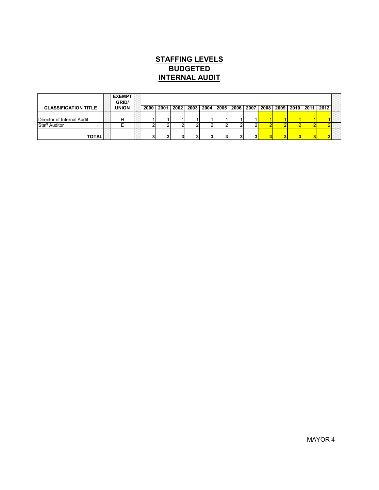### INTERNAL AUDIT BUDGETED STAFFING LEVELS

|                             | <b>EXEMPT</b><br>GRID/ |      |      |      |      |                 |           |      |      |                    |                |  |
|-----------------------------|------------------------|------|------|------|------|-----------------|-----------|------|------|--------------------|----------------|--|
| <b>CLASSIFICATION TITLE</b> | <b>UNION</b>           | 2000 | 2001 | 2002 | 2003 | 2004            | 2005 2006 | 2007 | 2008 | 2009   2010   2011 | $ 2012\rangle$ |  |
|                             |                        |      |      |      |      |                 |           |      |      |                    |                |  |
| Director of Internal Audit  | Н                      |      |      |      |      |                 |           |      |      |                    |                |  |
| <b>Staff Auditor</b>        |                        |      |      |      |      |                 |           |      |      |                    |                |  |
| <b>TOTALI</b>               |                        |      |      |      |      | $\bullet$<br>٠J |           |      |      |                    |                |  |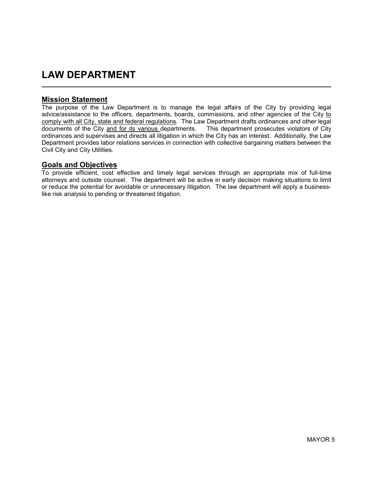## LAW DEPARTMENT

#### Mission Statement

 $\overline{a}$ 

The purpose of the Law Department is to manage the legal affairs of the City by providing legal advice/assistance to the officers, departments, boards, commissions, and other agencies of the City to comply with all City, state and federal regulations. The Law Department drafts ordinances and other legal documents of the City and for its various departments. This department prosecutes violators of City ordinances and supervises and directs all litigation in which the City has an interest. Additionally, the Law Department provides labor relations services in connection with collective bargaining matters between the Civil City and City Utilities.

#### Goals and Objectives

To provide efficient, cost effective and timely legal services through an appropriate mix of full-time attorneys and outside counsel. The department will be active in early decision making situations to limit or reduce the potential for avoidable or unnecessary litigation. The law department will apply a businesslike risk analysis to pending or threatened litigation.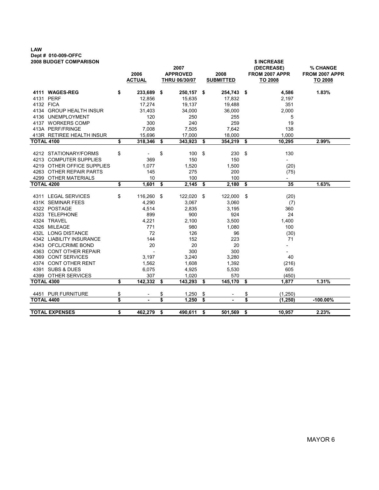### LAW Dept # 010-009-OFFC

|                   | <b>2008 BUDGET COMPARISON</b> |                          |      | 2007                             |     |                          | \$ INCREASE<br>(DECREASE)        | % CHANGE                         |
|-------------------|-------------------------------|--------------------------|------|----------------------------------|-----|--------------------------|----------------------------------|----------------------------------|
|                   |                               | 2006<br><b>ACTUAL</b>    |      | <b>APPROVED</b><br>THRU 06/30/07 |     | 2008<br><b>SUBMITTED</b> | FROM 2007 APPR<br><b>TO 2008</b> | FROM 2007 APPR<br><b>TO 2008</b> |
|                   | 4111 WAGES-REG                | \$<br>233,689 \$         |      | 250,157 \$                       |     | 254,743 \$               | 4,586                            | 1.83%                            |
|                   | 4131 PERF                     | 12,856                   |      | 15,635                           |     | 17,832                   | 2,197                            |                                  |
|                   | 4132 FICA                     | 17,274                   |      | 19,137                           |     | 19,488                   | 351                              |                                  |
|                   | 4134 GROUP HEALTH INSUR       | 31,403                   |      | 34,000                           |     | 36,000                   | 2,000                            |                                  |
|                   | 4136 UNEMPLOYMENT             | 120                      |      | 250                              |     | 255                      | 5                                |                                  |
|                   | 4137 WORKERS COMP             | 300                      |      | 240                              |     | 259                      | 19                               |                                  |
|                   | 413A PERF/FRINGE              | 7,008                    |      | 7,505                            |     | 7,642                    | 138                              |                                  |
|                   | 413R RETIREE HEALTH INSUR     | 15,696                   |      | 17.000                           |     | 18,000                   | 1.000                            |                                  |
|                   | <b>TOTAL 4100</b>             | \$<br>318,346            | - \$ | 343,923                          | -\$ | 354,219                  | \$<br>10,295                     | 2.99%                            |
|                   | 4212 STATIONARY/FORMS         | \$                       | \$   | 100                              | \$  | 230                      | \$<br>130                        |                                  |
|                   | 4213 COMPUTER SUPPLIES        | 369                      |      | 150                              |     | 150                      | $\overline{\phantom{0}}$         |                                  |
|                   | 4219 OTHER OFFICE SUPPLIES    | 1,077                    |      | 1,520                            |     | 1,500                    | (20)                             |                                  |
|                   | 4263 OTHER REPAIR PARTS       | 145                      |      | 275                              |     | 200                      | (75)                             |                                  |
|                   | 4299 OTHER MATERIALS          | 10                       |      | 100                              |     | 100                      | $\overline{\phantom{0}}$         |                                  |
| <b>TOTAL 4200</b> |                               | \$<br>1,601              | \$   | 2,145                            | \$  | 2,180                    | \$<br>35                         | 1.63%                            |
|                   |                               |                          |      |                                  |     |                          |                                  |                                  |
|                   | 4311 LEGAL SERVICES           | \$<br>116,260            | - \$ | 122,020                          | -\$ | 122,000                  | \$<br>(20)                       |                                  |
|                   | 431K SEMINAR FEES             | 4,290                    |      | 3,067                            |     | 3,060                    | (7)                              |                                  |
|                   | 4322 POSTAGE                  | 4,514                    |      | 2,835                            |     | 3,195                    | 360                              |                                  |
|                   | 4323 TELEPHONE                | 899                      |      | 900                              |     | 924                      | 24                               |                                  |
|                   | 4324 TRAVEL                   | 4,221                    |      | 2,100                            |     | 3,500                    | 1,400                            |                                  |
|                   | 4326 MILEAGE                  | 771                      |      | 980                              |     | 1,080                    | 100                              |                                  |
|                   | 432L LONG DISTANCE            | 72                       |      | 126                              |     | 96                       | (30)                             |                                  |
|                   | 4342 LIABILITY INSURANCE      | 144                      |      | 152                              |     | 223                      | 71                               |                                  |
|                   | 4343 OFCL/CRIME BOND          | 20                       |      | 20                               |     | 20                       | $\overline{\phantom{0}}$         |                                  |
|                   | 4363 CONT OTHER REPAIR        | $\overline{\phantom{a}}$ |      | 300                              |     | 300                      |                                  |                                  |
|                   | 4369 CONT SERVICES            | 3,197                    |      | 3,240                            |     | 3,280                    | 40                               |                                  |
|                   | 4374 CONT OTHER RENT          | 1,562                    |      | 1,608                            |     | 1,392                    | (216)                            |                                  |
|                   | 4391 SUBS & DUES              | 6,075                    |      | 4,925                            |     | 5,530                    | 605                              |                                  |
|                   | 4399 OTHER SERVICES           | 307                      |      | 1,020                            |     | 570                      | (450)                            |                                  |
| <b>TOTAL 4300</b> |                               | \$<br>142,332            | - \$ | 143,293                          | -\$ | 145,170                  | \$<br>1,877                      | 1.31%                            |
|                   | 4451 PUR FURNITURE            | \$                       | \$   | 1,250                            | \$  |                          | \$<br>(1, 250)                   |                                  |
| <b>TOTAL 4400</b> |                               | \$<br>٠                  | \$   | 1,250                            | \$  |                          | \$<br>(1, 250)                   | $-100.00\%$                      |
|                   |                               |                          |      |                                  |     |                          |                                  |                                  |
|                   | <b>TOTAL EXPENSES</b>         | \$<br>462,279            | \$   | 490,611                          | \$  | 501,569                  | 10,957                           | 2.23%                            |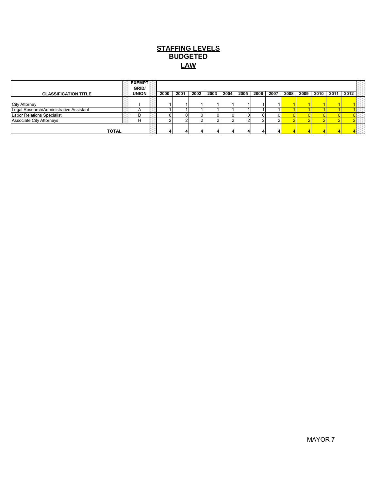#### **STAFFING LEVELS LAW** BUDGETED

|                                         | <b>EXEMPT</b><br>GRID/ |      |      |      |      |      |      |      |      |      |      |      |      |      |  |
|-----------------------------------------|------------------------|------|------|------|------|------|------|------|------|------|------|------|------|------|--|
| <b>CLASSIFICATION TITLE</b>             | <b>UNION</b>           | 2000 | 2001 | 2002 | 2003 | 2004 | 2005 | 2006 | 2007 | 2008 | 2009 | 2010 | 2011 | 2012 |  |
|                                         |                        |      |      |      |      |      |      |      |      |      |      |      |      |      |  |
| <b>City Attorney</b>                    |                        |      |      |      |      |      |      |      |      |      |      |      |      |      |  |
| Legal Research/Administrative Assistant |                        |      |      |      |      |      |      |      |      |      |      |      |      |      |  |
| <b>Labor Relations Specialist</b>       |                        |      |      |      |      |      |      |      |      |      |      |      |      |      |  |
| <b>Associate City Attorneys</b>         |                        |      |      |      |      |      |      |      |      |      |      |      |      |      |  |
| <b>TOTAL</b>                            |                        |      |      |      |      |      |      |      |      |      |      |      |      |      |  |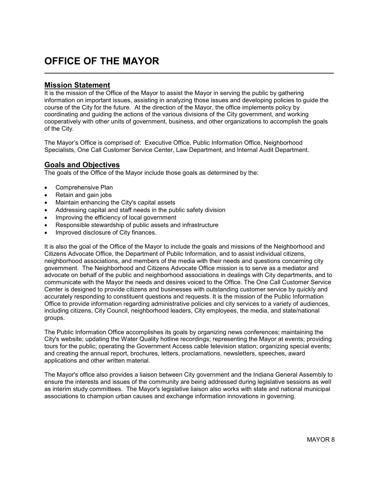## OFFICE OF THE MAYOR

#### Mission Statement

It is the mission of the Office of the Mayor to assist the Mayor in serving the public by gathering information on important issues, assisting in analyzing those issues and developing policies to guide the course of the City for the future. At the direction of the Mayor, the office implements policy by coordinating and guiding the actions of the various divisions of the City government, and working cooperatively with other units of government, business, and other organizations to accomplish the goals of the City.

The Mayor's Office is comprised of: Executive Office, Public Information Office, Neighborhood Specialists, One Call Customer Service Center, Law Department, and Internal Audit Department.

#### Goals and Objectives

The goals of the Office of the Mayor include those goals as determined by the:

- Comprehensive Plan
- Retain and gain jobs
- Maintain enhancing the City's capital assets
- Addressing capital and staff needs in the public safety division
- Improving the efficiency of local government
- Responsible stewardship of public assets and infrastructure
- Improved disclosure of City finances.

It is also the goal of the Office of the Mayor to include the goals and missions of the Neighborhood and Citizens Advocate Office, the Department of Public Information, and to assist individual citizens, neighborhood associations, and members of the media with their needs and questions concerning city government. The Neighborhood and Citizens Advocate Office mission is to serve as a mediator and advocate on behalf of the public and neighborhood associations in dealings with City departments, and to communicate with the Mayor the needs and desires voiced to the Office. The One Call Customer Service Center is designed to provide citizens and businesses with outstanding customer service by quickly and accurately responding to constituent questions and requests. It is the mission of the Public Information Office to provide information regarding administrative policies and city services to a variety of audiences, including citizens, City Council, neighborhood leaders, City employees, the media, and state/national groups.

The Public Information Office accomplishes its goals by organizing news conferences; maintaining the City's website; updating the Water Quality hotline recordings; representing the Mayor at events; providing tours for the public; operating the Government Access cable television station; organizing special events; and creating the annual report, brochures, letters, proclamations, newsletters, speeches, award applications and other written material.

The Mayor's office also provides a liaison between City government and the Indiana General Assembly to ensure the interests and issues of the community are being addressed during legislative sessions as well as interim study committees. The Mayor's legislative liaison also works with state and national municipal associations to champion urban causes and exchange information innovations in governing.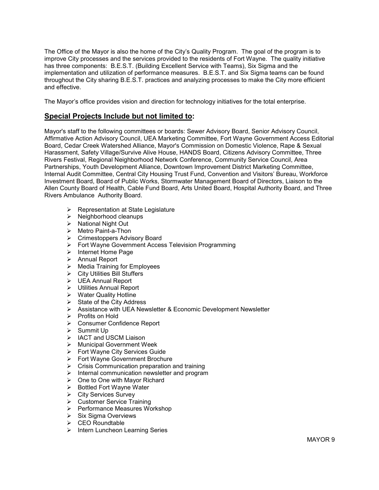The Office of the Mayor is also the home of the City's Quality Program. The goal of the program is to improve City processes and the services provided to the residents of Fort Wayne. The quality initiative has three components: B.E.S.T. (Building Excellent Service with Teams), Six Sigma and the implementation and utilization of performance measures. B.E.S.T. and Six Sigma teams can be found throughout the City sharing B.E.S.T. practices and analyzing processes to make the City more efficient and effective.

The Mayor's office provides vision and direction for technology initiatives for the total enterprise.

#### Special Projects Include but not limited to:

Mayor's staff to the following committees or boards: Sewer Advisory Board, Senior Advisory Council, Affirmative Action Advisory Council, UEA Marketing Committee, Fort Wayne Government Access Editorial Board, Cedar Creek Watershed Alliance, Mayor's Commission on Domestic Violence, Rape & Sexual Harassment, Safety Village/Survive Alive House, HANDS Board, Citizens Advisory Committee, Three Rivers Festival, Regional Neighborhood Network Conference, Community Service Council, Area Partnerships, Youth Development Alliance, Downtown Improvement District Marketing Committee, Internal Audit Committee, Central City Housing Trust Fund, Convention and Visitors' Bureau, Workforce Investment Board, Board of Public Works, Stormwater Management Board of Directors, Liaison to the Allen County Board of Health, Cable Fund Board, Arts United Board, Hospital Authority Board, and Three Rivers Ambulance Authority Board.

- $\triangleright$  Representation at State Legislature
- $\triangleright$  Neighborhood cleanups
- $\triangleright$  National Night Out
- > Metro Paint-a-Thon
- **►** Crimestoppers Advisory Board
- ► Fort Wayne Government Access Television Programming
- $\triangleright$  Internet Home Page
- > Annual Report
- $\triangleright$  Media Training for Employees
- $\triangleright$  City Utilities Bill Stuffers
- UEA Annual Report
- > Utilities Annual Report
- $\triangleright$  Water Quality Hotline
- $\triangleright$  State of the City Address
- Assistance with UEA Newsletter & Economic Development Newsletter
- $\triangleright$  Profits on Hold
- Consumer Confidence Report
- $\triangleright$  Summit Up
- > IACT and USCM Liaison
- $\triangleright$  Municipal Government Week
- $\triangleright$  Fort Wayne City Services Guide
- Fort Wayne Government Brochure
- $\triangleright$  Crisis Communication preparation and training
- $\triangleright$  Internal communication newsletter and program
- $\triangleright$  One to One with Mayor Richard
- $\triangleright$  Bottled Fort Wayne Water
- City Services Survey
- Customer Service Training
- $\triangleright$  Performance Measures Workshop
- $\triangleright$  Six Sigma Overviews
- $\triangleright$  CEO Roundtable
- $\triangleright$  Intern Luncheon Learning Series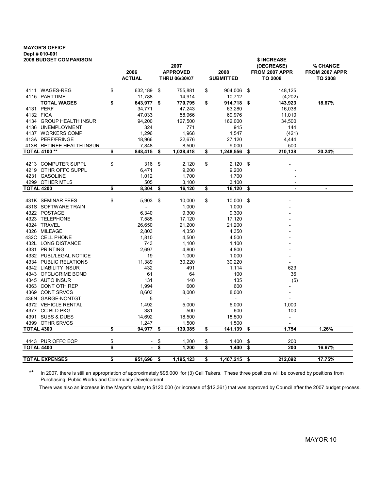### MAYOR'S OFFICE Dept # 010-001

| <b>2008 BUDGET COMPARISON</b>            |                                   |                                         |                               |                          |                           | \$ INCREASE                      |                |
|------------------------------------------|-----------------------------------|-----------------------------------------|-------------------------------|--------------------------|---------------------------|----------------------------------|----------------|
|                                          |                                   | 2007                                    | 2008<br><u>SUBMITTED</u>      |                          | (DECREASE)                | % CHANGE                         |                |
|                                          | 2006<br><u>ACTUAL</u>             | <b>APPROVED</b><br><b>THRU 06/30/07</b> | 904,006<br>\$<br>\$<br>10,712 |                          | FROM 2007 APPR<br>TO 2008 | FROM 2007 APPR<br><b>TO 2008</b> |                |
|                                          |                                   |                                         |                               |                          |                           |                                  |                |
| 4111 WAGES-REG                           | \$<br>632,189                     | \$<br>755,881                           |                               |                          |                           | 148,125                          |                |
| 4115 PARTTIME                            | 11,788                            | 14,914                                  |                               |                          |                           | (4,202)                          |                |
| <b>TOTAL WAGES</b>                       | \$<br>643,977                     | \$<br>770,795                           | \$                            | 914,718                  | \$                        | 143,923                          | 18.67%         |
| 4131 PERF                                | 34,771                            | 47,243                                  |                               | 63,280                   |                           | 16,038                           |                |
| 4132 FICA                                | 47,033                            | 58,966                                  |                               | 69,976                   |                           | 11,010                           |                |
| 4134 GROUP HEALTH INSUR                  | 94,200                            | 127,500                                 |                               | 162,000                  |                           | 34,500                           |                |
| 4136 UNEMPLOYMENT                        | 324                               | 771                                     |                               | 915                      |                           | 144                              |                |
| 4137 WORKERS COMP                        | 1,296                             | 1,968                                   |                               | 1,547                    |                           | (421)                            |                |
| 413A PERF/FRINGE                         | 18,966                            | 22,676                                  |                               | 27,120                   |                           | 4,444                            |                |
| 413R RETIREE HEALTH INSUR                | 7,848                             | 8,500                                   |                               | 9,000                    |                           | 500                              |                |
| <b>TOTAL 4100**</b>                      | \$<br>848,415                     | \$<br>1,038,418                         | \$                            | 1,248,556                | \$                        | 210,138                          | 20.24%         |
|                                          |                                   |                                         |                               |                          |                           |                                  |                |
| 4213 COMPUTER SUPPL                      | \$<br>316 \$                      | 2,120                                   | \$                            | 2,120                    | \$                        |                                  |                |
| 4219 OTHR OFFC SUPPL                     | 6,471                             | 9,200                                   |                               | 9,200                    |                           |                                  |                |
| 4231 GASOLINE                            | 1,012                             | 1,700                                   |                               | 1,700                    |                           |                                  |                |
| 4299 OTHER MTLS                          | 505                               | 3,100                                   |                               | 3,100                    |                           |                                  |                |
| <b>TOTAL 4200</b>                        | \$<br>8,304                       | \$<br>16,120                            | \$                            | 16,120                   | \$                        | $\overline{\phantom{a}}$         | $\blacksquare$ |
|                                          |                                   |                                         |                               |                          |                           |                                  |                |
| 431K SEMINAR FEES<br>431S SOFTWARE TRAIN | \$<br>5,903                       | \$<br>10,000                            | \$                            | 10,000                   | \$                        |                                  |                |
| 4322 POSTAGE                             | $\overline{\phantom{a}}$<br>6,340 | 1,000                                   |                               | 1,000                    |                           |                                  |                |
| 4323 TELEPHONE                           |                                   | 9,300                                   |                               | 9,300                    |                           |                                  |                |
| 4324 TRAVEL                              | 7,585<br>26,650                   | 17,120                                  |                               | 17,120                   |                           |                                  |                |
| 4326 MILEAGE                             | 2,803                             | 21,200<br>4,350                         |                               | 21,200<br>4,350          |                           |                                  |                |
| 432C CELL PHONE                          | 1,810                             | 4,500                                   |                               | 4,500                    |                           |                                  |                |
| 432L LONG DISTANCE                       | 743                               | 1,100                                   |                               | 1,100                    |                           |                                  |                |
| 4331 PRINTING                            | 2,697                             | 4,800                                   |                               | 4,800                    |                           |                                  |                |
| 4332 PUBL/LEGAL NOTICE                   | 19                                | 1,000                                   |                               | 1,000                    |                           |                                  |                |
| 4334 PUBLIC RELATIONS                    | 11,389                            | 30,220                                  |                               | 30,220                   |                           |                                  |                |
| 4342 LIABILITY INSUR                     | 432                               | 491                                     |                               | 1,114                    |                           | 623                              |                |
| 4343 OFCL/CRIME BOND                     | 61                                | 64                                      |                               | 100                      |                           | 36                               |                |
| 4345 AUTO INSUR                          | 131                               | 140                                     |                               | 135                      |                           | (5)                              |                |
| 4363 CONT OTH REP                        | 1,994                             | 600                                     |                               | 600                      |                           |                                  |                |
| 4369 CONT SRVCS                          | 8,603                             | 8,000                                   |                               | 8,000                    |                           |                                  |                |
| 436N GARGE-NONTGT                        | 5                                 | $\overline{\phantom{a}}$                |                               | $\overline{\phantom{a}}$ |                           |                                  |                |
| 4372 VEHICLE RENTAL                      | 1,492                             | 5,000                                   |                               | 6,000                    |                           | 1,000                            |                |
| 4377 CC BLD PKG                          | 381                               | 500                                     |                               | 600                      |                           | 100                              |                |
| 4391 SUBS & DUES                         | 14,692                            | 18,500                                  |                               | 18,500                   |                           |                                  |                |
| 4399 OTHR SRVCS                          | 1,247                             | 1,500                                   |                               | 1,500                    |                           |                                  |                |
| <b>TOTAL 4300</b>                        | \$<br>94,977                      | \$<br>139,385                           | \$                            | 141,139                  | \$                        | 1,754                            | 1.26%          |
|                                          |                                   |                                         |                               |                          |                           |                                  |                |
| 4443 PUR OFFC EQP                        | \$                                | \$<br>1,200                             | \$                            | 1,400                    | \$                        | 200                              |                |
| <b>TOTAL 4400</b>                        | \$                                | \$<br>1,200                             | \$                            | 1,400                    | \$                        | 200                              | 16.67%         |
| <b>TOTAL EXPENSES</b>                    | \$<br>951,696                     | \$<br>1,195,123                         | \$                            | 1,407,215                | \$                        | 212,092                          | 17.75%         |
|                                          |                                   |                                         |                               |                          |                           |                                  |                |

\*\* In 2007, there is still an appropriation of approximately \$96,000 for (3) Call Takers. These three positions will be covered by positions from Purchasing, Public Works and Community Development.

There was also an increase in the Mayor's salary to \$120,000 (or increase of \$12,361) that was approved by Council after the 2007 budget process.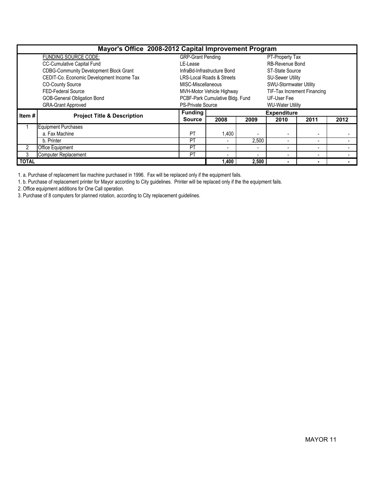|              | Mayor's Office 2008-2012 Capital Improvement Program |                          |                                      |                |                          |                                    |      |  |  |  |  |  |
|--------------|------------------------------------------------------|--------------------------|--------------------------------------|----------------|--------------------------|------------------------------------|------|--|--|--|--|--|
|              | FUNDING SOURCE CODE:                                 | <b>GRP-Grant Pending</b> |                                      |                | PT-Property Tax          |                                    |      |  |  |  |  |  |
|              | <b>CC-Cumulative Capital Fund</b>                    | LE-Lease                 |                                      |                | <b>RB-Revenue Bond</b>   |                                    |      |  |  |  |  |  |
|              | <b>CDBG-Community Development Block Grant</b>        |                          | InfraBd-Infrastructure Bond          |                | ST-State Source          |                                    |      |  |  |  |  |  |
|              | CEDIT-Co. Economic Development Income Tax            |                          | <b>LRS-Local Roads &amp; Streets</b> |                | <b>SU-Sewer Utility</b>  |                                    |      |  |  |  |  |  |
|              | <b>CO-County Source</b>                              | MISC-Miscellaneous       |                                      |                | SWU-Stormwater Utility   |                                    |      |  |  |  |  |  |
|              | FED-Federal Source                                   |                          | MVH-Motor Vehicle Highway            |                |                          | <b>TIF-Tax Increment Financing</b> |      |  |  |  |  |  |
|              | <b>GOB-General Obligation Bond</b>                   |                          | PCBF-Park Cumulative Bldg. Fund      |                | UF-User Fee              |                                    |      |  |  |  |  |  |
|              | <b>GRA-Grant Approved</b>                            | <b>PS-Private Source</b> |                                      |                | <b>WU-Water Utility</b>  |                                    |      |  |  |  |  |  |
| Item#        | <b>Project Title &amp; Description</b>               | <b>Funding</b>           |                                      |                | <b>Expenditure</b>       |                                    |      |  |  |  |  |  |
|              |                                                      | <b>Source</b>            | 2008                                 | 2009           | 2010                     | 2011                               | 2012 |  |  |  |  |  |
|              | <b>Equipment Purchases</b>                           |                          |                                      |                |                          |                                    |      |  |  |  |  |  |
|              | a. Fax Machine                                       | <b>PT</b>                | ,400                                 |                |                          | $\overline{\phantom{a}}$           |      |  |  |  |  |  |
|              | b. Printer                                           | PT                       |                                      | 2,500          |                          |                                    |      |  |  |  |  |  |
| 2            | Office Equipment                                     | PT                       | $\blacksquare$                       | $\blacksquare$ | $\overline{\phantom{0}}$ | $\blacksquare$                     |      |  |  |  |  |  |
| 3            | Computer Replacement                                 | <b>PT</b>                | -                                    |                |                          |                                    |      |  |  |  |  |  |
| <b>TOTAL</b> |                                                      |                          | 400. ا                               | 2.500          |                          | ٠                                  |      |  |  |  |  |  |

1. a. Purchase of replacement fax machine purchased in 1996. Fax will be replaced only if the equipment fails.

1. b. Purchase of replacement printer for Mayor according to City guidelines. Printer will be replaced only if the the equipment fails.

2. Office equipment additions for One Call operation.

3. Purchase of 8 computers for planned rotation, according to City replacement guidelines.